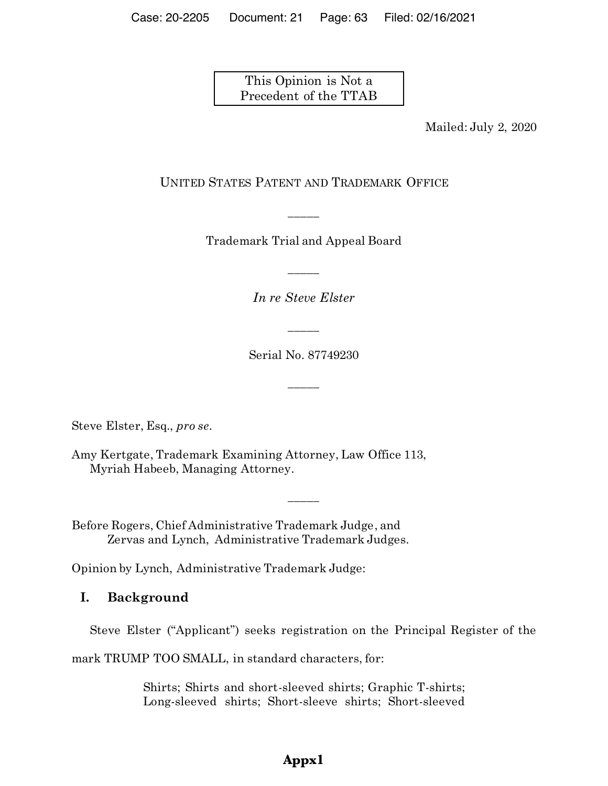This Opinion is Not a Precedent of the TTAB

Mailed: July 2, 2020

### UNITED STATES PATENT AND TRADEMARK OFFICE

Trademark Trial and Appeal Board

\_\_\_\_\_

*In re Steve Elster*

\_\_\_\_\_

Serial No. 87749230

\_\_\_\_\_

\_\_\_\_\_

\_\_\_\_\_

Steve Elster, Esq., *pro se*.

Amy Kertgate, Trademark Examining Attorney, Law Office 113, Myriah Habeeb, Managing Attorney.

Before Rogers, Chief Administrative Trademark Judge, and Zervas and Lynch, Administrative Trademark Judges.

Opinion by Lynch, Administrative Trademark Judge:

## **I. Background**

Steve Elster ("Applicant") seeks registration on the Principal Register of the

mark TRUMP TOO SMALL, in standard characters, for:

Shirts; Shirts and short-sleeved shirts; Graphic T-shirts; Long-sleeved shirts; Short-sleeve shirts; Short-sleeved

# **Appx1**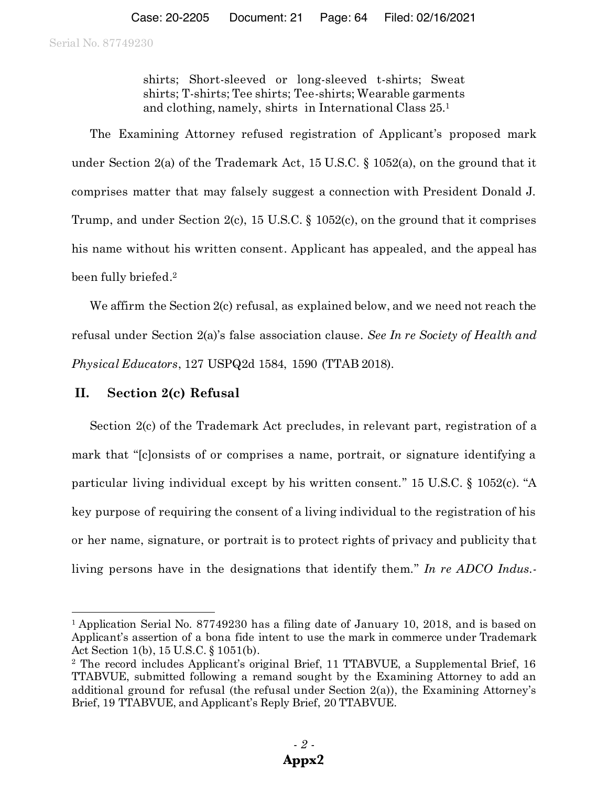shirts; Short-sleeved or long-sleeved t-shirts; Sweat shirts; T-shirts; Tee shirts; Tee-shirts; Wearable garments and clothing, namely, shirts in International Class 25. 1

The Examining Attorney refused registration of Applicant's proposed mark under Section 2(a) of the Trademark Act, 15 U.S.C. § 1052(a), on the ground that it comprises matter that may falsely suggest a connection with President Donald J. Trump, and under Section 2(c), 15 U.S.C. § 1052(c), on the ground that it comprises his name without his written consent. Applicant has appealed, and the appeal has been fully briefed. 2

We affirm the Section 2(c) refusal, as explained below, and we need not reach the refusal under Section 2(a)'s false association clause. *See In re Society of Health and Physical Educators*, 127 USPQ2d 1584, 1590 (TTAB 2018).

### **II. Section 2(c) Refusal**

l

Section 2(c) of the Trademark Act precludes, in relevant part, registration of a mark that "[c]onsists of or comprises a name, portrait, or signature identifying a particular living individual except by his written consent." 15 U.S.C. § 1052(c). "A key purpose of requiring the consent of a living individual to the registration of his or her name, signature, or portrait is to protect rights of privacy and publicity that living persons have in the designations that identify them." *In re ADCO Indus.-*

<sup>&</sup>lt;sup>1</sup> Application Serial No. 87749230 has a filing date of January 10, 2018, and is based on Applicant's assertion of a bona fide intent to use the mark in commerce under Trademark Act Section 1(b), 15 U.S.C. § 1051(b).<br><sup>2</sup> The record includes Applicant's original Brief, 11 TTABVUE, a Supplemental Brief, 16

TTABVUE, submitted following a remand sought by the Examining Attorney to add an additional ground for refusal (the refusal under Section 2(a)), the Examining Attorney's Brief, 19 TTABVUE, and Applicant's Reply Brief, 20 TTABVUE.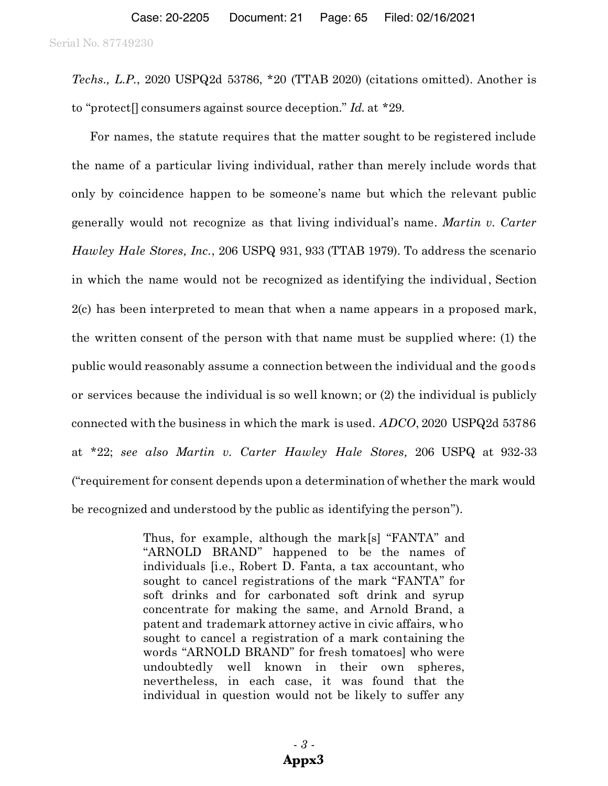*Techs., L.P.*, 2020 USPQ2d 53786, \*20 (TTAB 2020) (citations omitted). Another is to "protect[] consumers against source deception." *Id.* at \*29.

For names, the statute requires that the matter sought to be registered include the name of a particular living individual, rather than merely include words that only by coincidence happen to be someone's name but which the relevant public generally would not recognize as that living individual's name. *Martin v. Carter Hawley Hale Stores, Inc.*, 206 USPQ 931, 933 (TTAB 1979). To address the scenario in which the name would not be recognized as identifying the individual, Section 2(c) has been interpreted to mean that when a name appears in a proposed mark, the written consent of the person with that name must be supplied where: (1) the public would reasonably assume a connection between the individual and the goods or services because the individual is so well known; or (2) the individual is publicly connected with the business in which the mark is used. *ADCO*, 2020 USPQ2d 53786 at \*22; *see also Martin v. Carter Hawley Hale Stores,* 206 USPQ at 932-33 ("requirement for consent depends upon a determination of whether the mark would be recognized and understood by the public as identifying the person").

> Thus, for example, although the mark[s] "FANTA" and "ARNOLD BRAND" happened to be the names of individuals [i.e., Robert D. Fanta, a tax accountant, who sought to cancel registrations of the mark "FANTA" for soft drinks and for carbonated soft drink and syrup concentrate for making the same, and Arnold Brand, a patent and trademark attorney active in civic affairs, who sought to cancel a registration of a mark containing the words "ARNOLD BRAND" for fresh tomatoes] who were undoubtedly well known in their own spheres, nevertheless, in each case, it was found that the individual in question would not be likely to suffer any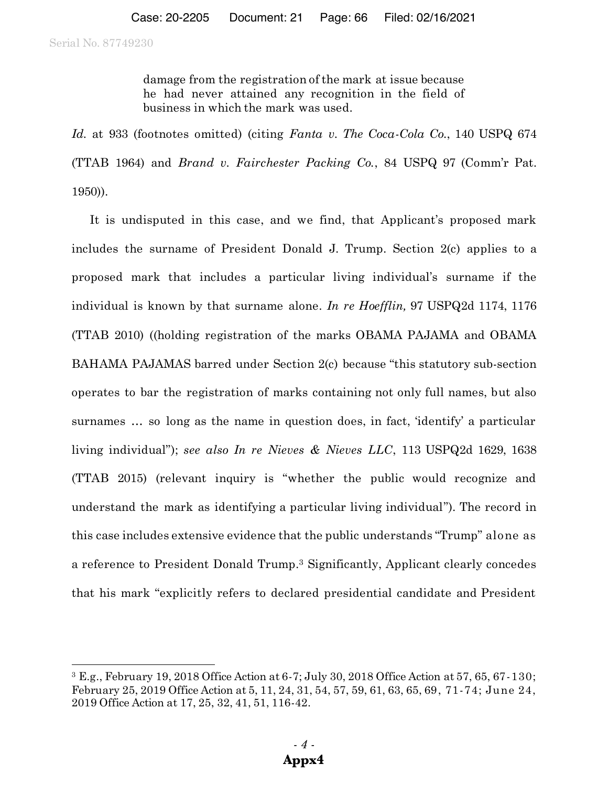l

damage from the registration of the mark at issue because he had never attained any recognition in the field of business in which the mark was used.

*Id.* at 933 (footnotes omitted) (citing *Fanta v. The Coca-Cola Co.*, 140 USPQ 674 (TTAB 1964) and *Brand v. Fairchester Packing Co.*, 84 USPQ 97 (Comm'r Pat. 1950)).

It is undisputed in this case, and we find, that Applicant's proposed mark includes the surname of President Donald J. Trump. Section 2(c) applies to a proposed mark that includes a particular living individual's surname if the individual is known by that surname alone. *In re Hoefflin,* 97 USPQ2d 1174, 1176 (TTAB 2010) ((holding registration of the marks OBAMA PAJAMA and OBAMA BAHAMA PAJAMAS barred under Section 2(c) because "this statutory sub-section operates to bar the registration of marks containing not only full names, but also surnames … so long as the name in question does, in fact, 'identify' a particular living individual"); *see also In re Nieves & Nieves LLC*, 113 USPQ2d 1629, 1638 (TTAB 2015) (relevant inquiry is "whether the public would recognize and understand the mark as identifying a particular living individual"). The record in this case includes extensive evidence that the public understands "Trump" alone as a reference to President Donald Trump.3 Significantly, Applicant clearly concedes that his mark "explicitly refers to declared presidential candidate and President

<sup>3</sup> E.g., February 19, 2018 Office Action at 6-7; July 30, 2018 Office Action at 57, 65, 67-130; February 25, 2019 Office Action at 5, 11, 24, 31, 54, 57, 59, 61, 63, 65, 69, 71-74; June 24, 2019 Office Action at 17, 25, 32, 41, 51, 116-42.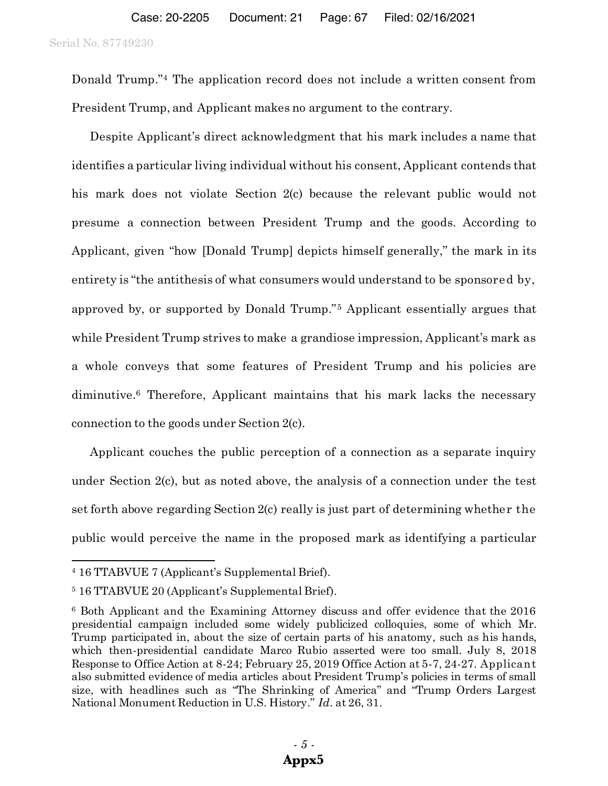Donald Trump."<sup>4</sup> The application record does not include a written consent from President Trump, and Applicant makes no argument to the contrary.

Despite Applicant's direct acknowledgment that his mark includes a name that identifies a particular living individual without his consent, Applicant contends that his mark does not violate Section 2(c) because the relevant public would not presume a connection between President Trump and the goods. According to Applicant, given "how [Donald Trump] depicts himself generally," the mark in its entirety is "the antithesis of what consumers would understand to be sponsored by, approved by, or supported by Donald Trump."<sup>5</sup> Applicant essentially argues that while President Trump strives to make a grandiose impression, Applicant's mark as a whole conveys that some features of President Trump and his policies are diminutive.6 Therefore, Applicant maintains that his mark lacks the necessary connection to the goods under Section 2(c).

Applicant couches the public perception of a connection as a separate inquiry under Section 2(c), but as noted above, the analysis of a connection under the test set forth above regarding Section 2(c) really is just part of determining whether the public would perceive the name in the proposed mark as identifying a particular

l

<sup>4</sup> 16 TTABVUE 7 (Applicant's Supplemental Brief).

<sup>5</sup> 16 TTABVUE 20 (Applicant's Supplemental Brief).

<sup>6</sup> Both Applicant and the Examining Attorney discuss and offer evidence that the 2016 presidential campaign included some widely publicized colloquies, some of which Mr. Trump participated in, about the size of certain parts of his anatomy, such as his hands, which then-presidential candidate Marco Rubio asserted were too small. July 8, 2018 Response to Office Action at 8-24; February 25, 2019 Office Action at 5-7, 24-27. Applicant also submitted evidence of media articles about President Trump's policies in terms of small size, with headlines such as "The Shrinking of America" and "Trump Orders Largest National Monument Reduction in U.S. History." *Id.* at 26, 31.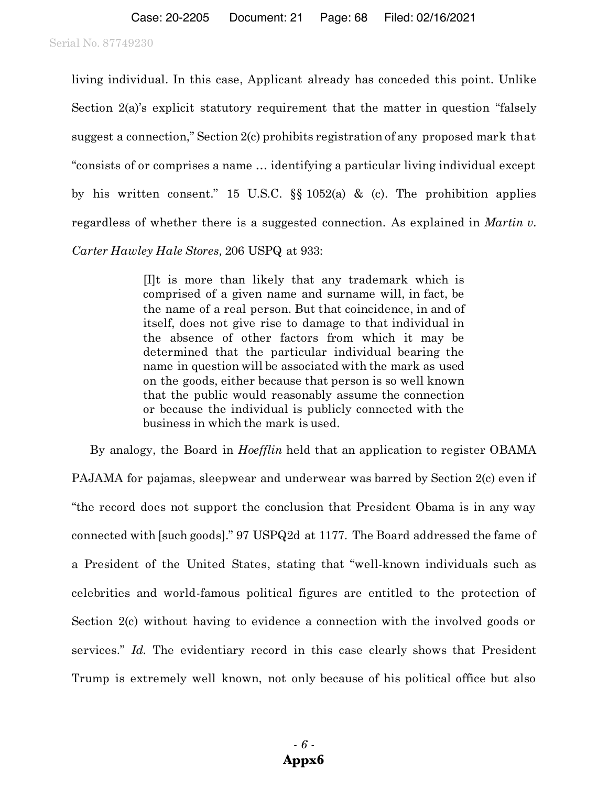living individual. In this case, Applicant already has conceded this point. Unlike Section 2(a)'s explicit statutory requirement that the matter in question "falsely suggest a connection," Section 2(c) prohibits registration of any proposed mark that "consists of or comprises a name … identifying a particular living individual except by his written consent." 15 U.S.C.  $\S$  1052(a) & (c). The prohibition applies regardless of whether there is a suggested connection. As explained in *Martin v.* 

*Carter Hawley Hale Stores,* 206 USPQ at 933:

[I]t is more than likely that any trademark which is comprised of a given name and surname will, in fact, be the name of a real person. But that coincidence, in and of itself, does not give rise to damage to that individual in the absence of other factors from which it may be determined that the particular individual bearing the name in question will be associated with the mark as used on the goods, either because that person is so well known that the public would reasonably assume the connection or because the individual is publicly connected with the business in which the mark is used.

By analogy, the Board in *Hoefflin* held that an application to register OBAMA PAJAMA for pajamas, sleepwear and underwear was barred by Section 2(c) even if "the record does not support the conclusion that President Obama is in any way connected with [such goods]." 97 USPQ2d at 1177. The Board addressed the fame of a President of the United States, stating that "well-known individuals such as celebrities and world-famous political figures are entitled to the protection of Section 2(c) without having to evidence a connection with the involved goods or services." *Id.* The evidentiary record in this case clearly shows that President Trump is extremely well known, not only because of his political office but also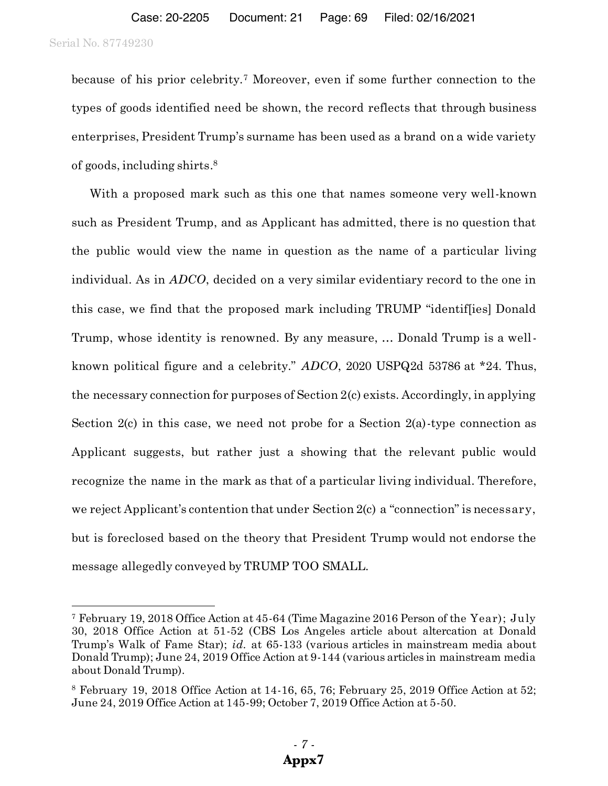l

because of his prior celebrity.7 Moreover, even if some further connection to the types of goods identified need be shown, the record reflects that through business enterprises, President Trump's surname has been used as a brand on a wide variety of goods, including shirts. 8

With a proposed mark such as this one that names someone very well-known such as President Trump, and as Applicant has admitted, there is no question that the public would view the name in question as the name of a particular living individual. As in *ADCO*, decided on a very similar evidentiary record to the one in this case, we find that the proposed mark including TRUMP "identif[ies] Donald Trump, whose identity is renowned. By any measure, … Donald Trump is a wellknown political figure and a celebrity." *ADCO*, 2020 USPQ2d 53786 at \*24. Thus, the necessary connection for purposes of Section 2(c) exists. Accordingly, in applying Section  $2(c)$  in this case, we need not probe for a Section  $2(a)$ -type connection as Applicant suggests, but rather just a showing that the relevant public would recognize the name in the mark as that of a particular living individual. Therefore, we reject Applicant's contention that under Section 2(c) a "connection" is necessary, but is foreclosed based on the theory that President Trump would not endorse the message allegedly conveyed by TRUMP TOO SMALL.

<sup>7</sup> February 19, 2018 Office Action at 45-64 (Time Magazine 2016 Person of the Year); July 30, 2018 Office Action at 51-52 (CBS Los Angeles article about altercation at Donald Trump's Walk of Fame Star); *id.* at 65-133 (various articles in mainstream media about Donald Trump); June 24, 2019 Office Action at 9-144 (various articles in mainstream media about Donald Trump).

 $8$  February 19, 2018 Office Action at 14-16, 65, 76; February 25, 2019 Office Action at 52; June 24, 2019 Office Action at 145-99; October 7, 2019 Office Action at 5-50.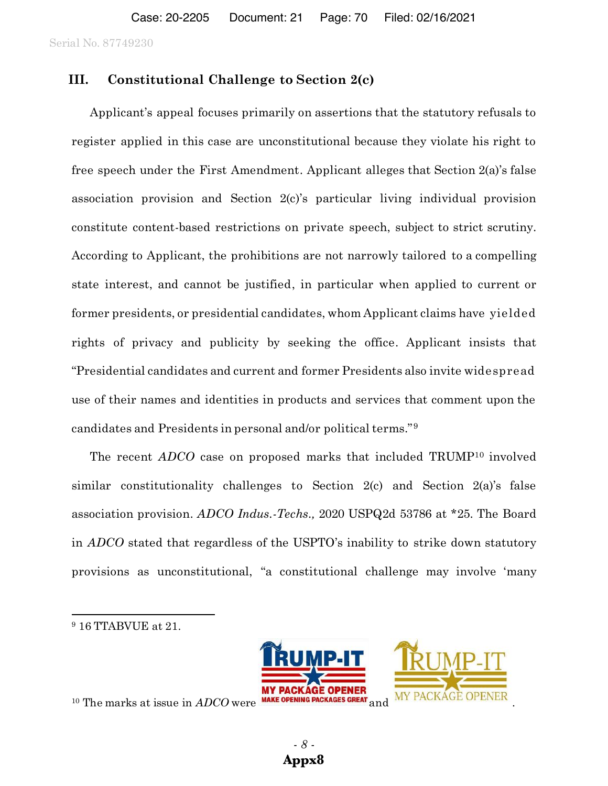### **III. Constitutional Challenge to Section 2(c)**

Applicant's appeal focuses primarily on assertions that the statutory refusals to register applied in this case are unconstitutional because they violate his right to free speech under the First Amendment. Applicant alleges that Section 2(a)'s false association provision and Section 2(c)'s particular living individual provision constitute content-based restrictions on private speech, subject to strict scrutiny. According to Applicant, the prohibitions are not narrowly tailored to a compelling state interest, and cannot be justified, in particular when applied to current or former presidents, or presidential candidates, whom Applicant claims have yielded rights of privacy and publicity by seeking the office. Applicant insists that "Presidential candidates and current and former Presidents also invite widespread use of their names and identities in products and services that comment upon the candidates and Presidents in personal and/or political terms."<sup>9</sup>

The recent *ADCO* case on proposed marks that included TRUMP<sup>10</sup> involved similar constitutionality challenges to Section 2(c) and Section 2(a)'s false association provision. *ADCO Indus.-Techs.,* 2020 USPQ2d 53786 at \*25. The Board in *ADCO* stated that regardless of the USPTO's inability to strike down statutory provisions as unconstitutional, "a constitutional challenge may involve 'many

l



<sup>10</sup> The marks at issue in *ADCO* were

<sup>9</sup> 16 TTABVUE at 21.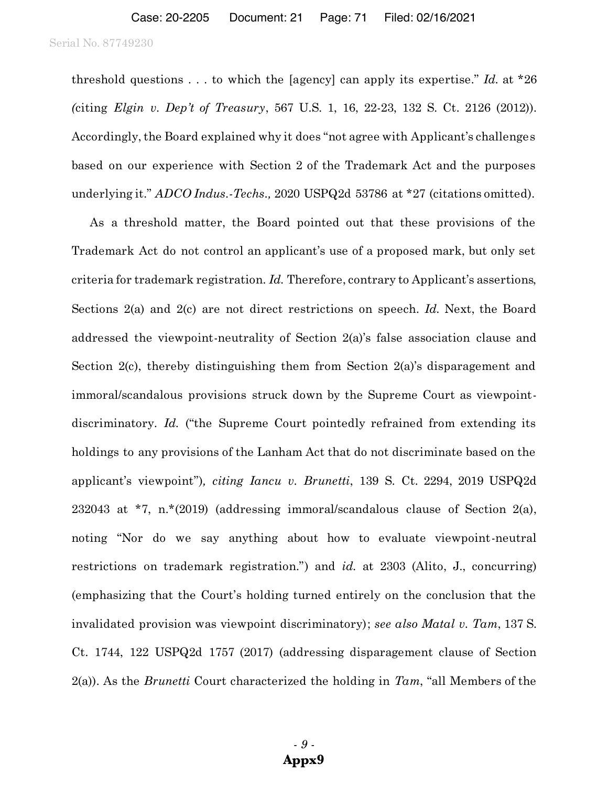threshold questions . . . to which the [agency] can apply its expertise." *Id.* at \*26 *(*citing *Elgin v. Dep't of Treasury*, 567 U.S. 1, 16, 22-23, 132 S. Ct. 2126 (2012)). Accordingly, the Board explained why it does "not agree with Applicant's challenges based on our experience with Section 2 of the Trademark Act and the purposes underlying it." *ADCO Indus.-Techs.,* 2020 USPQ2d 53786 at \*27 (citations omitted).

As a threshold matter, the Board pointed out that these provisions of the Trademark Act do not control an applicant's use of a proposed mark, but only set criteria for trademark registration. *Id.* Therefore, contrary to Applicant's assertions, Sections 2(a) and 2(c) are not direct restrictions on speech. *Id.* Next, the Board addressed the viewpoint-neutrality of Section 2(a)'s false association clause and Section 2(c), thereby distinguishing them from Section 2(a)'s disparagement and immoral/scandalous provisions struck down by the Supreme Court as viewpointdiscriminatory. *Id.* ("the Supreme Court pointedly refrained from extending its holdings to any provisions of the Lanham Act that do not discriminate based on the applicant's viewpoint")*, citing Iancu v. Brunetti*, 139 S. Ct. 2294, 2019 USPQ2d 232043 at \*7, n.\*(2019) (addressing immoral/scandalous clause of Section 2(a), noting "Nor do we say anything about how to evaluate viewpoint-neutral restrictions on trademark registration.") and *id.* at 2303 (Alito, J., concurring) (emphasizing that the Court's holding turned entirely on the conclusion that the invalidated provision was viewpoint discriminatory); *see also Matal v. Tam*, 137 S. Ct. 1744, 122 USPQ2d 1757 (2017) (addressing disparagement clause of Section 2(a)). As the *Brunetti* Court characterized the holding in *Tam*, "all Members of the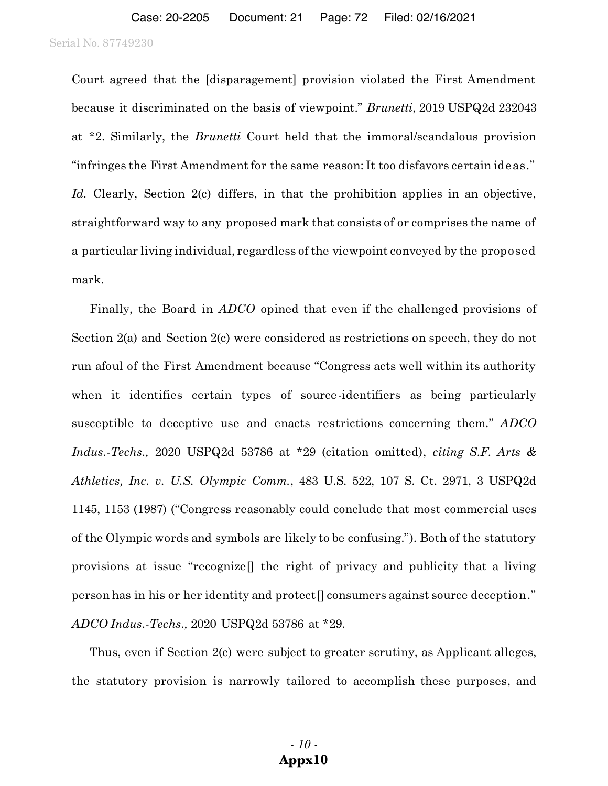Court agreed that the [disparagement] provision violated the First Amendment because it discriminated on the basis of viewpoint." *Brunetti*, 2019 USPQ2d 232043 at \*2. Similarly, the *Brunetti* Court held that the immoral/scandalous provision "infringes the First Amendment for the same reason: It too disfavors certain ideas." *Id.* Clearly, Section 2(c) differs, in that the prohibition applies in an objective, straightforward way to any proposed mark that consists of or comprises the name of a particular living individual, regardless of the viewpoint conveyed by the proposed mark.

Finally, the Board in *ADCO* opined that even if the challenged provisions of Section 2(a) and Section 2(c) were considered as restrictions on speech, they do not run afoul of the First Amendment because "Congress acts well within its authority when it identifies certain types of source-identifiers as being particularly susceptible to deceptive use and enacts restrictions concerning them." *ADCO Indus.-Techs.,* 2020 USPQ2d 53786 at \*29 (citation omitted), *citing S.F. Arts & Athletics, Inc. v. U.S. Olympic Comm.*, 483 U.S. 522, 107 S. Ct. 2971, 3 USPQ2d 1145, 1153 (1987) ("Congress reasonably could conclude that most commercial uses of the Olympic words and symbols are likely to be confusing."). Both of the statutory provisions at issue "recognize[] the right of privacy and publicity that a living person has in his or her identity and protect[] consumers against source deception." *ADCO Indus.-Techs.,* 2020 USPQ2d 53786 at \*29.

Thus, even if Section 2(c) were subject to greater scrutiny, as Applicant alleges, the statutory provision is narrowly tailored to accomplish these purposes, and